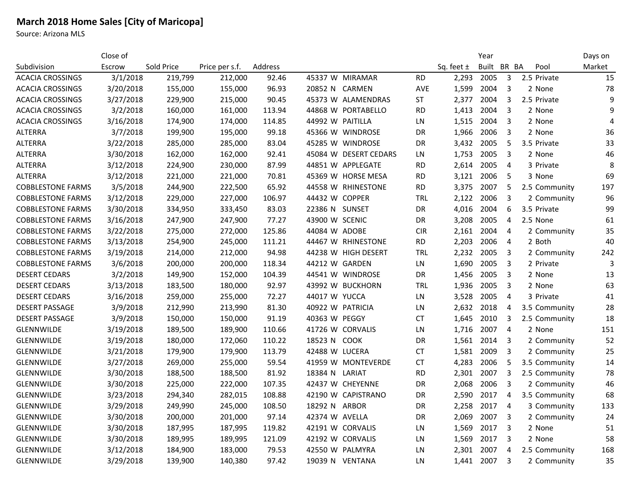## **March 2018 Home Sales [City of Maricopa]**

Source: Arizona MLS

|                          | Close of  |            |                |         |                  |                       |            |                | Year        |                |               | Days on        |
|--------------------------|-----------|------------|----------------|---------|------------------|-----------------------|------------|----------------|-------------|----------------|---------------|----------------|
| Subdivision              | Escrow    | Sold Price | Price per s.f. | Address |                  |                       |            | Sq. feet $\pm$ | Built BR BA |                | Pool          | Market         |
| <b>ACACIA CROSSINGS</b>  | 3/1/2018  | 219,799    | 212,000        | 92.46   |                  | 45337 W MIRAMAR       | <b>RD</b>  | 2,293          | 2005        | 3              | 2.5 Private   | 15             |
| <b>ACACIA CROSSINGS</b>  | 3/20/2018 | 155,000    | 155,000        | 96.93   | 20852 N          | CARMEN                | <b>AVE</b> | 1,599          | 2004        | 3              | 2 None        | 78             |
| <b>ACACIA CROSSINGS</b>  | 3/27/2018 | 229,900    | 215,000        | 90.45   |                  | 45373 W ALAMENDRAS    | <b>ST</b>  | 2,377          | 2004        | 3              | 2.5 Private   | 9              |
| <b>ACACIA CROSSINGS</b>  | 3/2/2018  | 160,000    | 161,000        | 113.94  |                  | 44868 W PORTABELLO    | <b>RD</b>  | 1,413          | 2004        | 3              | 2 None        | 9              |
| <b>ACACIA CROSSINGS</b>  | 3/16/2018 | 174,900    | 174,000        | 114.85  | 44992 W PAITILLA |                       | LN         | 1,515          | 2004        | 3              | 2 None        | $\overline{4}$ |
| <b>ALTERRA</b>           | 3/7/2018  | 199,900    | 195,000        | 99.18   |                  | 45366 W WINDROSE      | DR         | 1,966          | 2006        | 3              | 2 None        | 36             |
| <b>ALTERRA</b>           | 3/22/2018 | 285,000    | 285,000        | 83.04   |                  | 45285 W WINDROSE      | <b>DR</b>  | 3,432          | 2005        | 5              | 3.5 Private   | 33             |
| <b>ALTERRA</b>           | 3/30/2018 | 162,000    | 162,000        | 92.41   |                  | 45084 W DESERT CEDARS | LN.        | 1,753          | 2005        | 3              | 2 None        | 46             |
| <b>ALTERRA</b>           | 3/12/2018 | 224,900    | 230,000        | 87.99   |                  | 44851 W APPLEGATE     | <b>RD</b>  | 2,614          | 2005        | $\overline{4}$ | 3 Private     | 8              |
| <b>ALTERRA</b>           | 3/12/2018 | 221,000    | 221,000        | 70.81   |                  | 45369 W HORSE MESA    | <b>RD</b>  | 3,121          | 2006        | 5              | 3 None        | 69             |
| <b>COBBLESTONE FARMS</b> | 3/5/2018  | 244,900    | 222,500        | 65.92   |                  | 44558 W RHINESTONE    | <b>RD</b>  | 3,375          | 2007        | 5              | 2.5 Community | 197            |
| <b>COBBLESTONE FARMS</b> | 3/12/2018 | 229,000    | 227,000        | 106.97  | 44432 W COPPER   |                       | TRL        | 2,122          | 2006        | 3              | 2 Community   | 96             |
| <b>COBBLESTONE FARMS</b> | 3/30/2018 | 334,950    | 333,450        | 83.03   | 22386 N SUNSET   |                       | <b>DR</b>  | 4,016          | 2004        | 6              | 3.5 Private   | 99             |
| <b>COBBLESTONE FARMS</b> | 3/16/2018 | 247,900    | 247,900        | 77.27   | 43900 W SCENIC   |                       | DR         | 3,208          | 2005        | 4              | 2.5 None      | 61             |
| <b>COBBLESTONE FARMS</b> | 3/22/2018 | 275,000    | 272,000        | 125.86  | 44084 W ADOBE    |                       | <b>CIR</b> | 2,161          | 2004        | 4              | 2 Community   | 35             |
| <b>COBBLESTONE FARMS</b> | 3/13/2018 | 254,900    | 245,000        | 111.21  |                  | 44467 W RHINESTONE    | <b>RD</b>  | 2,203          | 2006        | 4              | 2 Both        | 40             |
| <b>COBBLESTONE FARMS</b> | 3/19/2018 | 214,000    | 212,000        | 94.98   |                  | 44238 W HIGH DESERT   | <b>TRL</b> | 2,232          | 2005        | 3              | 2 Community   | 242            |
| <b>COBBLESTONE FARMS</b> | 3/6/2018  | 200,000    | 200,000        | 118.34  | 44212 W GARDEN   |                       | LN.        | 1,690          | 2005        | 3              | 2 Private     | 3              |
| <b>DESERT CEDARS</b>     | 3/2/2018  | 149,900    | 152,000        | 104.39  |                  | 44541 W WINDROSE      | DR         | 1,456          | 2005        | 3              | 2 None        | 13             |
| <b>DESERT CEDARS</b>     | 3/13/2018 | 183,500    | 180,000        | 92.97   |                  | 43992 W BUCKHORN      | <b>TRL</b> | 1,936          | 2005        | 3              | 2 None        | 63             |
| <b>DESERT CEDARS</b>     | 3/16/2018 | 259,000    | 255,000        | 72.27   | 44017 W YUCCA    |                       | LN         | 3,528          | 2005        | $\overline{4}$ | 3 Private     | 41             |
| <b>DESERT PASSAGE</b>    | 3/9/2018  | 212,990    | 213,990        | 81.30   | 40922 W PATRICIA |                       | LN         | 2,632          | 2018        | 4              | 3.5 Community | 28             |
| <b>DESERT PASSAGE</b>    | 3/9/2018  | 150,000    | 150,000        | 91.19   | 40363 W PEGGY    |                       | <b>CT</b>  | 1,645          | 2010        | 3              | 2.5 Community | 18             |
| <b>GLENNWILDE</b>        | 3/19/2018 | 189,500    | 189,900        | 110.66  |                  | 41726 W CORVALIS      | LN         | 1,716          | 2007        | 4              | 2 None        | 151            |
| <b>GLENNWILDE</b>        | 3/19/2018 | 180,000    | 172,060        | 110.22  | 18523 N COOK     |                       | DR         | 1,561          | 2014        | 3              | 2 Community   | 52             |
| <b>GLENNWILDE</b>        | 3/21/2018 | 179,900    | 179,900        | 113.79  | 42488 W LUCERA   |                       | <b>CT</b>  | 1,581          | 2009        | $\overline{3}$ | 2 Community   | 25             |
| <b>GLENNWILDE</b>        | 3/27/2018 | 269,000    | 255,000        | 59.54   |                  | 41959 W MONTEVERDE    | <b>CT</b>  | 4,283          | 2006        | 5              | 3.5 Community | 14             |
| <b>GLENNWILDE</b>        | 3/30/2018 | 188,500    | 188,500        | 81.92   | 18384 N          | LARIAT                | <b>RD</b>  | 2,301          | 2007        | 3              | 2.5 Community | 78             |
| <b>GLENNWILDE</b>        | 3/30/2018 | 225,000    | 222,000        | 107.35  |                  | 42437 W CHEYENNE      | DR         | 2,068          | 2006        | 3              | 2 Community   | 46             |
| GLENNWILDE               | 3/23/2018 | 294,340    | 282,015        | 108.88  |                  | 42190 W CAPISTRANO    | DR         | 2,590          | 2017        | $\overline{4}$ | 3.5 Community | 68             |
| GLENNWILDE               | 3/29/2018 | 249,990    | 245,000        | 108.50  | 18292 N ARBOR    |                       | DR         | 2,258          | 2017        | $\overline{4}$ | 3 Community   | 133            |
| GLENNWILDE               | 3/30/2018 | 200,000    | 201,000        | 97.14   | 42374 W AVELLA   |                       | DR         | 2,069          | 2007        | 3              | 2 Community   | 24             |
| <b>GLENNWILDE</b>        | 3/30/2018 | 187,995    | 187,995        | 119.82  |                  | 42191 W CORVALIS      | LN.        | 1,569          | 2017        | 3              | 2 None        | 51             |
| <b>GLENNWILDE</b>        | 3/30/2018 | 189,995    | 189,995        | 121.09  |                  | 42192 W CORVALIS      | LN         | 1,569          | 2017        | 3              | 2 None        | 58             |
| GLENNWILDE               | 3/12/2018 | 184,900    | 183,000        | 79.53   | 42550 W PALMYRA  |                       | LN         | 2,301          | 2007        | $\overline{4}$ | 2.5 Community | 168            |
| <b>GLENNWILDE</b>        | 3/29/2018 | 139,900    | 140,380        | 97.42   |                  | 19039 N VENTANA       | LN         | 1,441          | 2007        | 3              | 2 Community   | 35             |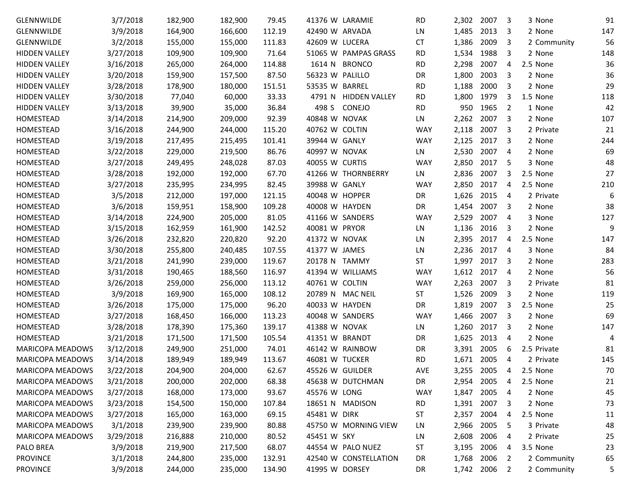| GLENNWILDE              | 3/7/2018  | 182,900 | 182,900 | 79.45  | 41376 W LARAMIE        | <b>RD</b>  | 2,302 | 2007         | 3              | 3 None      | 91  |
|-------------------------|-----------|---------|---------|--------|------------------------|------------|-------|--------------|----------------|-------------|-----|
| GLENNWILDE              | 3/9/2018  | 164,900 | 166,600 | 112.19 | 42490 W ARVADA         | LN         | 1,485 | 2013         | 3              | 2 None      | 147 |
| GLENNWILDE              | 3/2/2018  | 155,000 | 155,000 | 111.83 | 42609 W LUCERA         | <b>CT</b>  | 1,386 | 2009         | 3              | 2 Community | 56  |
| <b>HIDDEN VALLEY</b>    | 3/27/2018 | 109,900 | 109,900 | 71.64  | 51065 W PAMPAS GRASS   | <b>RD</b>  | 1,534 | 1988         | 3              | 2 None      | 148 |
| <b>HIDDEN VALLEY</b>    | 3/16/2018 | 265,000 | 264,000 | 114.88 | 1614 N BRONCO          | <b>RD</b>  | 2,298 | 2007         | 4              | 2.5 None    | 36  |
| <b>HIDDEN VALLEY</b>    | 3/20/2018 | 159,900 | 157,500 | 87.50  | 56323 W PALILLO        | DR         | 1,800 | 2003         | 3              | 2 None      | 36  |
| <b>HIDDEN VALLEY</b>    | 3/28/2018 | 178,900 | 180,000 | 151.51 | 53535 W BARREL         | <b>RD</b>  | 1,188 | 2000         | 3              | 2 None      | 29  |
| <b>HIDDEN VALLEY</b>    | 3/30/2018 | 77,040  | 60,000  | 33.33  | 4791 N HIDDEN VALLEY   | <b>RD</b>  | 1,800 | 1979         | 3              | 1.5 None    | 118 |
| <b>HIDDEN VALLEY</b>    | 3/13/2018 | 39,900  | 35,000  | 36.84  | 498 S<br><b>CONEJO</b> | <b>RD</b>  | 950   | 1965         | 2              | 1 None      | 42  |
| HOMESTEAD               | 3/14/2018 | 214,900 | 209,000 | 92.39  | 40848 W NOVAK          | LN         | 2,262 | 2007         | 3              | 2 None      | 107 |
| HOMESTEAD               | 3/16/2018 | 244,900 | 244,000 | 115.20 | 40762 W COLTIN         | <b>WAY</b> | 2,118 | 2007         | 3              | 2 Private   | 21  |
| HOMESTEAD               | 3/19/2018 | 217,495 | 215,495 | 101.41 | 39944 W GANLY          | <b>WAY</b> | 2,125 | 2017         | 3              | 2 None      | 244 |
| HOMESTEAD               | 3/22/2018 | 229,000 | 219,500 | 86.76  | 40997 W NOVAK          | LN         | 2,530 | 2007         | $\overline{4}$ | 2 None      | 69  |
| HOMESTEAD               | 3/27/2018 | 249,495 | 248,028 | 87.03  | 40055 W CURTIS         | <b>WAY</b> | 2,850 | 2017         | 5              | 3 None      | 48  |
| HOMESTEAD               | 3/28/2018 | 192,000 | 192,000 | 67.70  | 41266 W THORNBERRY     | LN.        | 2,836 | 2007         | 3              | 2.5 None    | 27  |
| HOMESTEAD               | 3/27/2018 | 235,995 | 234,995 | 82.45  | 39988 W GANLY          | <b>WAY</b> | 2,850 | 2017         | 4              | 2.5 None    | 210 |
| HOMESTEAD               | 3/5/2018  | 212,000 | 197,000 | 121.15 | 40048 W HOPPER         | DR         | 1,626 | 2015         | 4              | 2 Private   | 6   |
| HOMESTEAD               | 3/6/2018  | 159,951 | 158,900 | 109.28 | 40008 W HAYDEN         | DR         | 1,454 | 2007         | 3              | 2 None      | 38  |
| <b>HOMESTEAD</b>        | 3/14/2018 | 224,900 | 205,000 | 81.05  | 41166 W SANDERS        | <b>WAY</b> | 2,529 | 2007         | 4              | 3 None      | 127 |
| HOMESTEAD               | 3/15/2018 | 162,959 | 161,900 | 142.52 | 40081 W PRYOR          | LN         | 1,136 | 2016         | 3              | 2 None      | 9   |
| HOMESTEAD               | 3/26/2018 | 232,820 | 220,820 | 92.20  | 41372 W NOVAK          | LN         | 2,395 | 2017         | 4              | 2.5 None    | 147 |
| HOMESTEAD               | 3/30/2018 | 255,800 | 240,485 | 107.55 | 41377 W JAMES          | LN         | 2,236 | 2017         | $\overline{4}$ | 3 None      | 84  |
| HOMESTEAD               | 3/21/2018 | 241,990 | 239,000 | 119.67 | 20178 N TAMMY          | <b>ST</b>  | 1,997 | 2017         | 3              | 2 None      | 283 |
| HOMESTEAD               | 3/31/2018 | 190,465 | 188,560 | 116.97 | 41394 W WILLIAMS       | <b>WAY</b> | 1,612 | 2017         | 4              | 2 None      | 56  |
| HOMESTEAD               | 3/26/2018 | 259,000 | 256,000 | 113.12 | 40761 W COLTIN         | <b>WAY</b> | 2,263 | 2007         | 3              | 2 Private   | 81  |
| HOMESTEAD               | 3/9/2018  | 169,900 | 165,000 | 108.12 | 20789 N MAC NEIL       | <b>ST</b>  | 1,526 | 2009         | 3              | 2 None      | 119 |
| HOMESTEAD               | 3/26/2018 | 175,000 | 175,000 | 96.20  | 40033 W HAYDEN         | DR         | 1,819 | 2007         | 3              | 2.5 None    | 25  |
| HOMESTEAD               | 3/27/2018 | 168,450 | 166,000 | 113.23 | 40048 W SANDERS        | <b>WAY</b> | 1,466 | 2007         | 3              | 2 None      | 69  |
| HOMESTEAD               | 3/28/2018 | 178,390 | 175,360 | 139.17 | 41388 W NOVAK          | LN         | 1,260 | 2017         | 3              | 2 None      | 147 |
| HOMESTEAD               | 3/21/2018 | 171,500 | 171,500 | 105.54 | 41351 W BRANDT         | DR         | 1,625 | 2013         | 4              | 2 None      | 4   |
| <b>MARICOPA MEADOWS</b> | 3/12/2018 | 249,900 | 251,000 | 74.01  | 46142 W RAINBOW        | DR         | 3,391 | 2005         | 6              | 2.5 Private | 81  |
| <b>MARICOPA MEADOWS</b> | 3/14/2018 | 189,949 | 189,949 | 113.67 | 46081 W TUCKER         | <b>RD</b>  | 1,671 | 2005         | 4              | 2 Private   | 145 |
| MARICOPA MEADOWS        | 3/22/2018 | 204,900 | 204,000 | 62.67  | 45526 W GUILDER        | AVE        |       | 3,255 2005   | 4              | 2.5 None    | 70  |
| MARICOPA MEADOWS        | 3/21/2018 | 200,000 | 202,000 | 68.38  | 45638 W DUTCHMAN       | DR         |       | 2,954 2005   | -4             | 2.5 None    | 21  |
| MARICOPA MEADOWS        | 3/27/2018 | 168,000 | 173,000 | 93.67  | 45576 W LONG           | WAY        |       | 1,847 2005   | -4             | 2 None      | 45  |
| MARICOPA MEADOWS        | 3/23/2018 | 154,500 | 150,000 | 107.84 | 18651 N MADISON        | <b>RD</b>  |       | 1,391 2007   | 3              | 2 None      | 73  |
| MARICOPA MEADOWS        | 3/27/2018 | 165,000 | 163,000 | 69.15  | 45481 W DIRK           | ST         |       | 2,357 2004   | 4              | 2.5 None    | 11  |
| MARICOPA MEADOWS        | 3/1/2018  | 239,900 | 239,900 | 80.88  | 45750 W MORNING VIEW   | LN         |       | 2,966 2005   | -5             | 3 Private   | 48  |
| MARICOPA MEADOWS        | 3/29/2018 | 216,888 | 210,000 | 80.52  | 45451 W SKY            | LN         |       | 2,608 2006   | 4              | 2 Private   | 25  |
| PALO BREA               | 3/9/2018  | 219,900 | 217,500 | 68.07  | 44554 W PALO NUEZ      | ST         |       | 3,195 2006   | 4              | 3.5 None    | 23  |
| <b>PROVINCE</b>         | 3/1/2018  | 244,800 | 235,000 | 132.91 | 42540 W CONSTELLATION  | DR         |       | 1,768 2006   | 2              | 2 Community | 65  |
| PROVINCE                | 3/9/2018  | 244,000 | 235,000 | 134.90 | 41995 W DORSEY         | DR         |       | 1,742 2006 2 |                | 2 Community | 5   |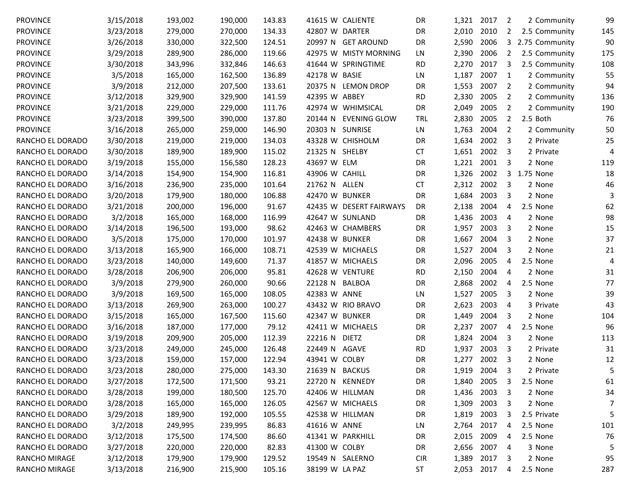| <b>PROVINCE</b>  | 3/15/2018 | 193,002 | 190,000 | 143.83 | 41615 W CALIENTE               | DR         | 1,321 2017 |              | 2              | 2 Community    | 99             |
|------------------|-----------|---------|---------|--------|--------------------------------|------------|------------|--------------|----------------|----------------|----------------|
| <b>PROVINCE</b>  | 3/23/2018 | 279,000 | 270,000 | 134.33 | 42807 W DARTER                 | DR         | 2,010      | 2010         | 2              | 2.5 Community  | 145            |
| <b>PROVINCE</b>  | 3/26/2018 | 330,000 | 322,500 | 124.51 | 20997 N GET AROUND             | DR         | 2,590      | 2006         | 3              | 2.75 Community | 90             |
| <b>PROVINCE</b>  | 3/29/2018 | 289,900 | 286,000 | 119.66 | 42975 W MISTY MORNING          | LN         | 2,390      | 2006         | 2              | 2.5 Community  | 175            |
| <b>PROVINCE</b>  | 3/30/2018 | 343,996 | 332,846 | 146.63 | 41644 W SPRINGTIME             | <b>RD</b>  | 2,270      | 2017         | 3              | 2.5 Community  | 108            |
| <b>PROVINCE</b>  | 3/5/2018  | 165,000 | 162,500 | 136.89 | 42178 W BASIE                  | LN         | 1,187      | 2007         | $\mathbf{1}$   | 2 Community    | 55             |
| <b>PROVINCE</b>  | 3/9/2018  | 212,000 | 207,500 | 133.61 | 20375 N LEMON DROP             | DR         | 1,553      | 2007         | 2              | 2 Community    | 94             |
| <b>PROVINCE</b>  | 3/12/2018 | 329,900 | 329,900 | 141.59 | 42395 W ABBEY                  | <b>RD</b>  | 2,330      | 2005         | 2              | 2 Community    | 136            |
| <b>PROVINCE</b>  | 3/21/2018 | 229,000 | 229,000 | 111.76 | 42974 W WHIMSICAL              | DR         | 2,049      | 2005         | 2              | 2 Community    | 190            |
| <b>PROVINCE</b>  | 3/23/2018 | 399,500 | 390,000 | 137.80 | 20144 N<br><b>EVENING GLOW</b> | TRL        | 2,830      | 2005         | $\overline{2}$ | 2.5 Both       | 76             |
| <b>PROVINCE</b>  | 3/16/2018 | 265,000 | 259,000 | 146.90 | 20303 N SUNRISE                | LN         | 1,763      | 2004         | 2              | 2 Community    | 50             |
| RANCHO EL DORADO | 3/30/2018 | 219,000 | 219,000 | 134.03 | 43328 W CHISHOLM               | DR         | 1,634      | 2002         | 3              | 2 Private      | 25             |
| RANCHO EL DORADO | 3/30/2018 | 189,900 | 189,900 | 115.02 | 21325 N<br>SHELBY              | <b>CT</b>  | 1,651      | 2002         | 3              | 2 Private      | $\overline{4}$ |
| RANCHO EL DORADO | 3/19/2018 | 155,000 | 156,580 | 128.23 | 43697 W ELM                    | DR         | 1,221      | 2001         | 3              | 2 None         | 119            |
| RANCHO EL DORADO | 3/14/2018 | 154,900 | 154,900 | 116.81 | 43906 W CAHILL                 | DR         | 1,326      | 2002         |                | 3 1.75 None    | 18             |
| RANCHO EL DORADO | 3/16/2018 | 236,900 | 235,000 | 101.64 | 21762 N ALLEN                  | <b>CT</b>  | 2,312      | 2002         | 3              | 2 None         | 46             |
| RANCHO EL DORADO | 3/20/2018 | 179,900 | 180,000 | 106.88 | 42470 W BUNKER                 | DR         | 1,684      | 2003         | 3              | 2 None         | 3              |
| RANCHO EL DORADO | 3/21/2018 | 200,000 | 196,000 | 91.67  | 42435 W DESERT FAIRWAYS        | DR         | 2,138      | 2004         | 4              | 2.5 None       | 62             |
| RANCHO EL DORADO | 3/2/2018  | 165,000 | 168,000 | 116.99 | 42647 W SUNLAND                | DR         | 1,436      | 2003         | 4              | 2 None         | 98             |
| RANCHO EL DORADO | 3/14/2018 | 196,500 | 193,000 | 98.62  | 42463 W CHAMBERS               | DR         | 1,957      | 2003         | 3              | 2 None         | 15             |
| RANCHO EL DORADO | 3/5/2018  | 175,000 | 170,000 | 101.97 | 42438 W BUNKER                 | DR         | 1,667      | 2004         | 3              | 2 None         | 37             |
| RANCHO EL DORADO | 3/13/2018 | 165,900 | 166,000 | 108.71 | 42539 W MICHAELS               | DR         | 1,527      | 2004         | 3              | 2 None         | 21             |
| RANCHO EL DORADO | 3/23/2018 | 140,000 | 149,600 | 71.37  | 41857 W MICHAELS               | DR         | 2,096      | 2005         | 4              | 2.5 None       | 4              |
| RANCHO EL DORADO | 3/28/2018 | 206,900 | 206,000 | 95.81  | 42628 W VENTURE                | <b>RD</b>  | 2,150      | 2004         | 4              | 2 None         | 31             |
| RANCHO EL DORADO | 3/9/2018  | 279,900 | 260,000 | 90.66  | 22128 N BALBOA                 | DR         | 2,868      | 2002         | 4              | 2.5 None       | 77             |
| RANCHO EL DORADO | 3/9/2018  | 169,500 | 165,000 | 108.05 | 42383 W ANNE                   | LN         | 1,527      | 2005         | 3              | 2 None         | 39             |
| RANCHO EL DORADO | 3/13/2018 | 269,900 | 263,000 | 100.27 | 43432 W RIO BRAVO              | DR         | 2,623      | 2003         | 4              | 3 Private      | 43             |
| RANCHO EL DORADO | 3/15/2018 | 165,000 | 167,500 | 115.60 | 42347 W BUNKER                 | DR         | 1,449      | 2004         | 3              | 2 None         | 104            |
| RANCHO EL DORADO | 3/16/2018 | 187,000 | 177,000 | 79.12  | 42411 W MICHAELS               | DR         | 2,237      | 2007         | 4              | 2.5 None       | 96             |
| RANCHO EL DORADO | 3/19/2018 | 209,900 | 205,000 | 112.39 | <b>DIETZ</b><br>22216 N        | DR         | 1,824      | 2004         | 3              | 2 None         | 113            |
| RANCHO EL DORADO | 3/23/2018 | 249,000 | 245,000 | 126.48 | 22449 N<br>AGAVE               | <b>RD</b>  | 1,937      | 2003         | 3              | 2 Private      | 31             |
| RANCHO EL DORADO | 3/23/2018 | 159,000 | 157,000 | 122.94 | 43941 W COLBY                  | DR         | 1,277      | 2002         | 3              | 2 None         | 12             |
| RANCHO EL DORADO | 3/23/2018 | 280,000 | 275,000 | 143.30 | 21639 N BACKUS                 | DR         | 1,919      | 2004         |                | 2 Private      | 5              |
| RANCHO EL DORADO | 3/27/2018 | 172,500 | 171,500 | 93.21  | 22720 N KENNEDY                | DR         |            | 1,840 2005   | 3              | 2.5 None       | 61             |
| RANCHO EL DORADO | 3/28/2018 | 199,000 | 180,500 | 125.70 | 42406 W HILLMAN                | DR         |            | 1,436 2003   | 3              | 2 None         | 34             |
| RANCHO EL DORADO | 3/28/2018 | 165,000 | 165,000 | 126.05 | 42567 W MICHAELS               | DR         |            | 1,309 2003   | 3              | 2 None         | 7              |
| RANCHO EL DORADO | 3/29/2018 | 189,900 | 192,000 | 105.55 | 42538 W HILLMAN                | DR         |            | 1,819 2003   | 3              | 2.5 Private    | 5              |
| RANCHO EL DORADO | 3/2/2018  | 249,995 | 239,995 | 86.83  | 41616 W ANNE                   | LN         |            | 2,764 2017   | 4              | 2.5 None       | 101            |
| RANCHO EL DORADO | 3/12/2018 | 175,500 | 174,500 | 86.60  | 41341 W PARKHILL               | DR         |            | 2,015 2009   | 4              | 2.5 None       | 76             |
| RANCHO EL DORADO | 3/27/2018 | 220,000 | 220,000 | 82.83  | 41300 W COLBY                  | DR         |            | 2,656 2007   | 4              | 3 None         | 5              |
| RANCHO MIRAGE    | 3/12/2018 | 179,900 | 179,900 | 129.52 | 19549 N SALERNO                | <b>CIR</b> |            | 1,389 2017   | 3              | 2 None         | 95             |
| RANCHO MIRAGE    | 3/13/2018 | 216,900 | 215,900 | 105.16 | 38199 W LA PAZ                 | <b>ST</b>  |            | 2,053 2017 4 |                | 2.5 None       | 287            |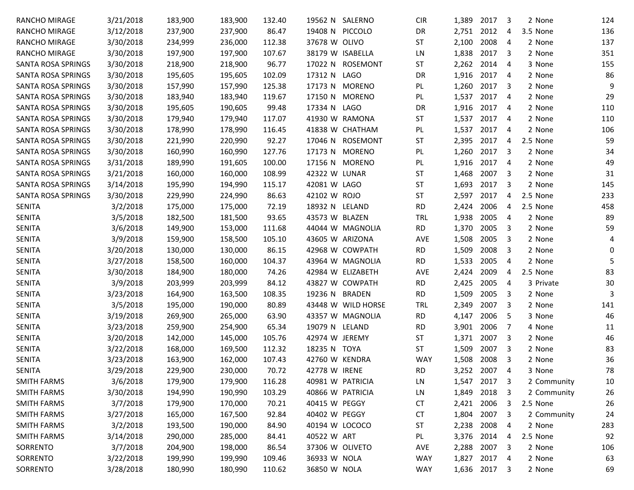| RANCHO MIRAGE             | 3/21/2018 | 183,900 | 183,900 | 132.40 | 19562 N SALERNO        |               | <b>CIR</b> | 1,389      | 2017 | 3                       | 2 None      | 124 |
|---------------------------|-----------|---------|---------|--------|------------------------|---------------|------------|------------|------|-------------------------|-------------|-----|
| RANCHO MIRAGE             | 3/12/2018 | 237,900 | 237,900 | 86.47  | 19408 N PICCOLO        |               | DR         | 2,751      | 2012 | 4                       | 3.5 None    | 136 |
| RANCHO MIRAGE             | 3/30/2018 | 234,999 | 236,000 | 112.38 | 37678 W OLIVO          |               | <b>ST</b>  | 2,100      | 2008 | 4                       | 2 None      | 137 |
| RANCHO MIRAGE             | 3/30/2018 | 197,900 | 197,900 | 107.67 | 38179 W ISABELLA       |               | LN         | 1,838      | 2017 | 3                       | 2 None      | 351 |
| SANTA ROSA SPRINGS        | 3/30/2018 | 218,900 | 218,900 | 96.77  | 17022 N ROSEMONT       |               | <b>ST</b>  | 2,262      | 2014 | 4                       | 3 None      | 155 |
| SANTA ROSA SPRINGS        | 3/30/2018 | 195,605 | 195,605 | 102.09 | <b>LAGO</b><br>17312 N |               | DR         | 1,916      | 2017 | -4                      | 2 None      | 86  |
| SANTA ROSA SPRINGS        | 3/30/2018 | 157,990 | 157,990 | 125.38 | 17173 N MORENO         |               | PL         | 1,260      | 2017 | 3                       | 2 None      | 9   |
| <b>SANTA ROSA SPRINGS</b> | 3/30/2018 | 183,940 | 183,940 | 119.67 | 17150 N MORENO         |               | PL         | 1,537      | 2017 | 4                       | 2 None      | 29  |
| <b>SANTA ROSA SPRINGS</b> | 3/30/2018 | 195,605 | 190,605 | 99.48  | 17334 N LAGO           |               | DR         | 1,916      | 2017 | 4                       | 2 None      | 110 |
| <b>SANTA ROSA SPRINGS</b> | 3/30/2018 | 179,940 | 179,940 | 117.07 | 41930 W RAMONA         |               | <b>ST</b>  | 1,537      | 2017 | 4                       | 2 None      | 110 |
| SANTA ROSA SPRINGS        | 3/30/2018 | 178,990 | 178,990 | 116.45 | 41838 W CHATHAM        |               | PL         | 1,537      | 2017 | 4                       | 2 None      | 106 |
| SANTA ROSA SPRINGS        | 3/30/2018 | 221,990 | 220,990 | 92.27  | 17046 N ROSEMONT       |               | <b>ST</b>  | 2,395      | 2017 | 4                       | 2.5 None    | 59  |
| SANTA ROSA SPRINGS        | 3/30/2018 | 160,990 | 160,990 | 127.76 | 17173 N                | <b>MORENO</b> | PL         | 1,260      | 2017 | 3                       | 2 None      | 34  |
| SANTA ROSA SPRINGS        | 3/31/2018 | 189,990 | 191,605 | 100.00 | 17156 N MORENO         |               | PL         | 1,916      | 2017 | 4                       | 2 None      | 49  |
| SANTA ROSA SPRINGS        | 3/21/2018 | 160,000 | 160,000 | 108.99 | 42322 W LUNAR          |               | <b>ST</b>  | 1,468      | 2007 | 3                       | 2 None      | 31  |
| SANTA ROSA SPRINGS        | 3/14/2018 | 195,990 | 194,990 | 115.17 | 42081 W LAGO           |               | <b>ST</b>  | 1,693      | 2017 | 3                       | 2 None      | 145 |
| <b>SANTA ROSA SPRINGS</b> | 3/30/2018 | 229,990 | 224,990 | 86.63  | 42102 W ROJO           |               | <b>ST</b>  | 2,597      | 2017 | 4                       | 2.5 None    | 233 |
| <b>SENITA</b>             | 3/2/2018  | 175,000 | 175,000 | 72.19  | 18932 N LELAND         |               | <b>RD</b>  | 2,424      | 2006 | 4                       | 2.5 None    | 458 |
| <b>SENITA</b>             | 3/5/2018  | 182,500 | 181,500 | 93.65  | 43573 W BLAZEN         |               | <b>TRL</b> | 1,938      | 2005 | 4                       | 2 None      | 89  |
| <b>SENITA</b>             | 3/6/2018  | 149,900 | 153,000 | 111.68 | 44044 W MAGNOLIA       |               | <b>RD</b>  | 1,370      | 2005 | 3                       | 2 None      | 59  |
| <b>SENITA</b>             | 3/9/2018  | 159,900 | 158,500 | 105.10 | 43605 W ARIZONA        |               | <b>AVE</b> | 1,508      | 2005 | 3                       | 2 None      | 4   |
| <b>SENITA</b>             | 3/20/2018 | 130,000 | 130,000 | 86.15  | 42968 W COWPATH        |               | <b>RD</b>  | 1,509      | 2008 | 3                       | 2 None      | 0   |
| <b>SENITA</b>             | 3/27/2018 | 158,500 | 160,000 | 104.37 | 43964 W MAGNOLIA       |               | <b>RD</b>  | 1,533      | 2005 | 4                       | 2 None      | 5   |
| <b>SENITA</b>             | 3/30/2018 | 184,900 | 180,000 | 74.26  | 42984 W ELIZABETH      |               | <b>AVE</b> | 2,424      | 2009 | 4                       | 2.5 None    | 83  |
| <b>SENITA</b>             | 3/9/2018  | 203,999 | 203,999 | 84.12  | 43827 W COWPATH        |               | <b>RD</b>  | 2,425      | 2005 | 4                       | 3 Private   | 30  |
| <b>SENITA</b>             | 3/23/2018 | 164,900 | 163,500 | 108.35 | 19236 N BRADEN         |               | <b>RD</b>  | 1,509      | 2005 | 3                       | 2 None      | 3   |
| <b>SENITA</b>             | 3/5/2018  | 195,000 | 190,000 | 80.89  | 43448 W WILD HORSE     |               | <b>TRL</b> | 2,349      | 2007 | 3                       | 2 None      | 141 |
| <b>SENITA</b>             | 3/19/2018 | 269,900 | 265,000 | 63.90  | 43357 W MAGNOLIA       |               | <b>RD</b>  | 4,147      | 2006 | 5                       | 3 None      | 46  |
| <b>SENITA</b>             | 3/23/2018 | 259,900 | 254,900 | 65.34  | 19079 N LELAND         |               | <b>RD</b>  | 3,901      | 2006 | 7                       | 4 None      | 11  |
| <b>SENITA</b>             | 3/20/2018 | 142,000 | 145,000 | 105.76 | 42974 W JEREMY         |               | <b>ST</b>  | 1,371      | 2007 | 3                       | 2 None      | 46  |
| <b>SENITA</b>             | 3/22/2018 | 168,000 | 169,500 | 112.32 | 18235 N TOYA           |               | <b>ST</b>  | 1,509      | 2007 | 3                       | 2 None      | 83  |
| <b>SENITA</b>             | 3/23/2018 | 163,900 | 162,000 | 107.43 | 42760 W KENDRA         |               | <b>WAY</b> | 1,508      | 2008 | 3                       | 2 None      | 36  |
| <b>SENITA</b>             | 3/29/2018 | 229,900 | 230,000 | 70.72  | 42778 W IRENE          |               | <b>RD</b>  | 3,252 2007 |      | 4                       | 3 None      | 78  |
| <b>SMITH FARMS</b>        | 3/6/2018  | 179,900 | 179,900 | 116.28 | 40981 W PATRICIA       |               | LN         | 1,547 2017 |      | 3                       | 2 Community | 10  |
| <b>SMITH FARMS</b>        | 3/30/2018 | 194,990 | 190,990 | 103.29 | 40866 W PATRICIA       |               | LN         | 1,849      | 2018 | 3                       | 2 Community | 26  |
| <b>SMITH FARMS</b>        | 3/7/2018  | 179,900 | 170,000 | 70.21  | 40415 W PEGGY          |               | <b>CT</b>  | 2,421      | 2006 | 3                       | 2.5 None    | 26  |
| <b>SMITH FARMS</b>        | 3/27/2018 | 165,000 | 167,500 | 92.84  | 40402 W PEGGY          |               | <b>CT</b>  | 1,804      | 2007 | 3                       | 2 Community | 24  |
| <b>SMITH FARMS</b>        | 3/2/2018  | 193,500 | 190,000 | 84.90  | 40194 W LOCOCO         |               | <b>ST</b>  | 2,238      | 2008 | 4                       | 2 None      | 283 |
| <b>SMITH FARMS</b>        | 3/14/2018 | 290,000 | 285,000 | 84.41  | 40522 W ART            |               | PL         | 3,376      | 2014 | 4                       | 2.5 None    | 92  |
| SORRENTO                  | 3/7/2018  | 204,900 | 198,000 | 86.54  | 37306 W OLIVETO        |               | AVE        | 2,288      | 2007 | 3                       | 2 None      | 106 |
| SORRENTO                  | 3/22/2018 | 199,990 | 199,990 | 109.46 | 36933 W NOLA           |               | <b>WAY</b> | 1,827 2017 |      | 4                       | 2 None      | 63  |
| SORRENTO                  | 3/28/2018 | 180,990 | 180,990 | 110.62 | 36850 W NOLA           |               | <b>WAY</b> | 1,636 2017 |      | $\overline{\mathbf{3}}$ | 2 None      | 69  |